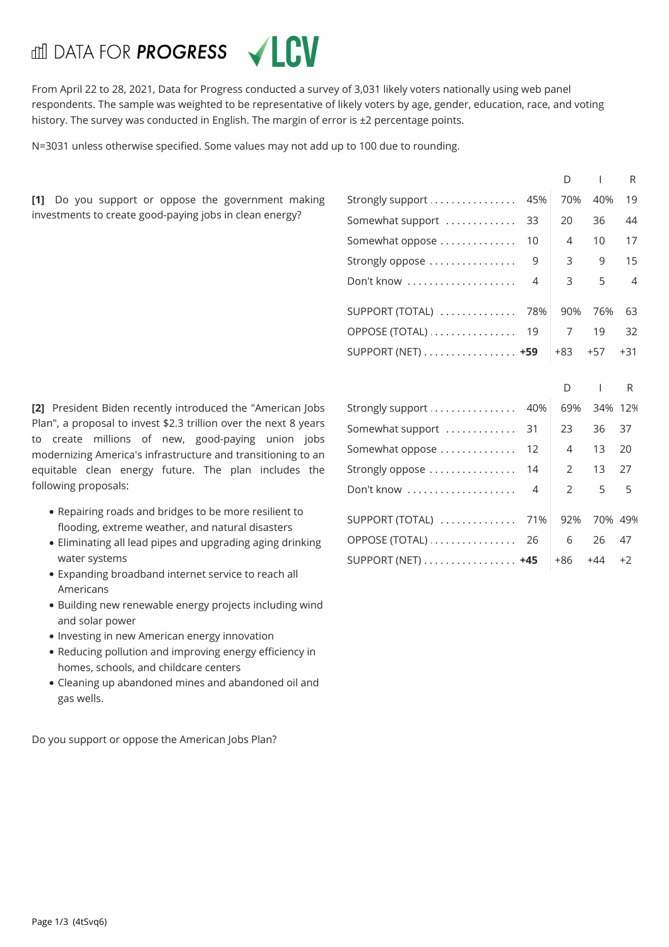## **dil DATA FOR PROGRESS**



From April 22 to 28,2021, Data for Progress conducted a survey of 3,031 likely voters nationally using web panel respondents. The sample was weighted to be representative of likely voters by age, gender, education, race, and voting history. The survey was conducted in English. The margin of error is ±2 percentage points.

N=3031 unless otherwise specified. Some values may not add up to 100 due to rounding.

**[1]** Do you support or oppose the government making investments to create good-paying jobs in clean energy?

**[2]** President Biden recently introduced the "American Jobs Plan", a proposal to invest \$2.3 trillion over the next 8 years to create millions of new, good-paying union jobs modernizing America's infrastructure and transitioning to an equitable clean energy future. The plan includes the following proposals:

- Repairing roads and bridges to be more resilient to flooding, extreme weather, and natural disasters
- Eliminating all lead pipes and upgrading aging drinking water systems
- Expanding broadband internet service to reach all Americans
- Building new renewable energy projects including wind and solar power
- Investing in new American energy innovation
- Reducing pollution and improving energy efficiency in homes, schools, and childcare centers
- Cleaning up abandoned mines and abandoned oil and gas wells.

Do you support or oppose the American Jobs Plan?

| Strongly support  45% |    | 70%   | 40%   | - 19           |  |
|-----------------------|----|-------|-------|----------------|--|
| Somewhat support      | 33 | 20    | 36    | 44             |  |
| Somewhat oppose       | 10 | 4     | 10    | 17             |  |
| Strongly oppose       | 9  | 3     | 9     | 15             |  |
| Don't know  4         |    | 3     | 5     | $\overline{4}$ |  |
| SUPPORT (TOTAL)  78%  |    | 90%   | 76%   | -63            |  |
| OPPOSE (TOTAL)  19    |    | 7     | 19    | 32             |  |
| SUPPORT (NET) +59     |    | $+83$ | $+57$ | $+31$          |  |
|                       |    |       |       |                |  |

| Strongly support  40%                          | 69%         | 34% 12% |      |
|------------------------------------------------|-------------|---------|------|
| Somewhat support  31                           | 23          | 36 37   |      |
| Somewhat oppose  12                            | 4           | 13      | -20  |
| Strongly oppose  14                            | $2^{\circ}$ | 13 27   |      |
| Don't know  4                                  | $2^{\circ}$ | 5       | $-5$ |
| SUPPORT (TOTAL)  71%                           | 92%         | 70% 49% |      |
| OPPOSE (TOTAL)  26                             | 6           | 26 47   |      |
| SUPPORT (NET) $\dots\dots\dots\dots\dots\dots$ | +86         | +44     | $+2$ |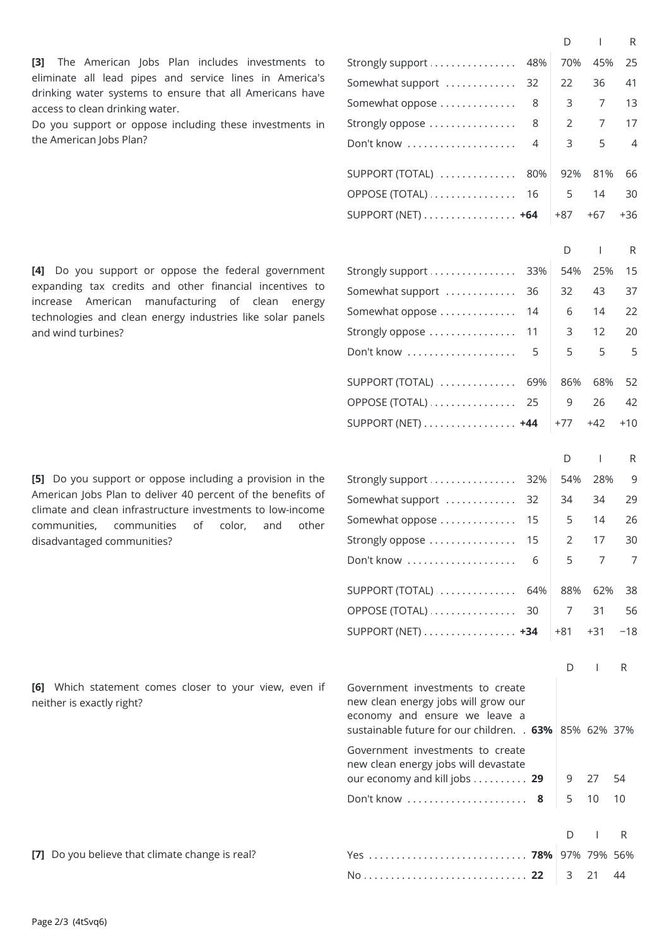**[3]** The American Jobs Plan includes investments to eliminate all lead pipes and service lines in America's drinking water systems to ensure that all Americans have access to clean drinking water.

Do you support or oppose including these investments in the American Jobs Plan?

**[4]** Do you support or oppose the federal government expanding tax credits and other financial incentives to increase American manufacturing of clean energy technologies and clean energy industries like solar panels and wind turbines?

**[5]** Do you support or oppose including a provision in the American Jobs Plan to deliver 40 percent of the benefits of climate and clean infrastructure investments to low-income communities, communities of color, and other disadvantaged communities?

Strongly support . . . . . . . . . . . . . . 48%| 70% 45% 25 Somewhat support  $\dots\dots\dots\dots$  32  $\vert$  22 36 41 . . . . . . . . . . . . . . . . . . . . . . . . . . . . . . . . . . . . . . . . . . . . . . . . . . . . . . . . . . . . . . . . . . . . . . . . . . . . . . . . Somewhat oppose 8 3 7 13 Strongly oppose  $\dots\dots\dots\dots\dots\quad$  8  $\begin{array}{ccc} & 2 & 7 & 17 \end{array}$ . . . . . . . . . . . . . . . . . . . . . . . . . . . . . . . . . . . . . . . . . . . . . . . . . . . . . . . . . . . . . . . . . . . . . . . . . . . . . . . . Don't know4 3 5 4 SUPPORT (TOTAL) . . . . . . . . . . . . . 80% | 92% 81% 66 OPPOSE (TOTAL) . . . . . . . . . . . . . . . . 16 | 5 14 30 . . . . . . . . . . . . . . . . . . . . . . . . . . . . . . . . . . . . . . . . . . . . . . . . . . . . . . . . . . . . . . . . . . . . . . . . . . . . . . . . SUPPORT(NET) **+64** +87 +67 +36 D I R Strongly support . . . . . . . . . . . . . . 33% | 54% 25% 15 . . . . . . . . . . . . . . . . . . . . . . . . . . . . . . . . . . . . . . . . . . . . . . . . . . . . . . . . . . . . . . . . . . . . . . . . . . . . . . . . Somewhat support 36 32 43 37 Somewhat oppose  $\dots\dots\dots\dots\quad$  14  $\vert\quad$  6  $\vert\quad$  14  $\vert\quad$  22 Strongly oppose . . . . . . . . . . . . . . . 11 | 3 | 12 | 20 . . . . . . . . . . . . . . . . . . . . . . . . . . . . . . . . . . . . . . . . . . . . . . . . . . . . . . . . . . . . . . . . . . . . . . . . . . . . . . . . Don't know5 5 5 5 SUPPORT (TOTAL) . . . . . . . . . . . . . 69% | 86% 68% 52 OPPOSE (TOTAL) . . . . . . . . . . . . . . . 25 | 9 26 42 . . . . . . . . . . . . . . . . . . . . . . . . . . . . . . . . . . . . . . . . . . . . . . . . . . . . . . . . . . . . . . . . . . . . . . . . . . . . . . . . SUPPORT(NET) **+44** +77 +42 +10 D I R Strongly support . . . . . . . . . . . . . . . 32% | 54% 28% 9 . . . . . . . . . . . . . . . . . . . . . . . . . . . . . . . . . . . . . . . . . . . . . . . . . . . . . . . . . . . . . . . . . . . . . . . . . . . . . . . . Somewhat support 32 34 34 29 Somewhat oppose  $\dots\dots\dots\dots\quad$  15  $\quad$  5  $\quad$  14  $\quad$  26 . . . . . . . . . . . . . . . . . . . . . . . . . . . . . . . . . . . . . . . . . . . . . . . . . . . . . . . . . . . . . . . . . . . . . . . . . . . . . . . . Stronglyoppose 15 2 17 30 . . . . . . . . . . . . . . . . . . . . . . . . . . . . . . . . . . . . . . . . . . . . . . . . . . . . . . . . . . . . . . . . . . . . . . . . . . . . . . . . Don't know6 5 7 7 SUPPORT (TOTAL) .............. 64% | 88% 62% 38 OPPOSE (TOTAL) . . . . . . . . . . . . . . . 30 | 7 31 56 SUPPORT (NET) . . . . . . . . . . . . . . . . **+34** | +81 +31 −18 D I R sustainable future for our children. . . **63%** 85% 62% 37% our economy and kill jobs . . . . . . . . . . **29**  $\begin{array}{|l}$  9 27 54 . . . . . . . . . . . . . . . . . . . . . . . . . . . . . . . . . . . . . . . . . . . . . . . . . . . . . . . . . . . . . . . . . . . . . . . . . . . . . . . . Don't know**8** 5 1010 D I R Government investments to create new clean energy jobs will grow our economy and ensure we leave a Government investments to create new clean energy jobs will devastate **[7]** Do you believe thatclimate change is real? . . . . . . . . . . . . . . . . . . . . . . . . . . . . . . . . . . . . . . . . . . . . . . . . . . . . . . . . . . . . . . . . . . . . . . . . . . . . . . . . . . . . . . . . . . . . . . . . . . . . . . . . . . . . . . . . . . . . . . . . . . . . . . . . . . . . . . . . . . . . . . . . . . . . . . . . . . . . . . . . <sup>D</sup> <sup>I</sup> <sup>R</sup> Yes **78%** 97% 79%56%

No **22** 3 2144

**[6]** Which statement comes closer to your view, even if neither is exactly right?